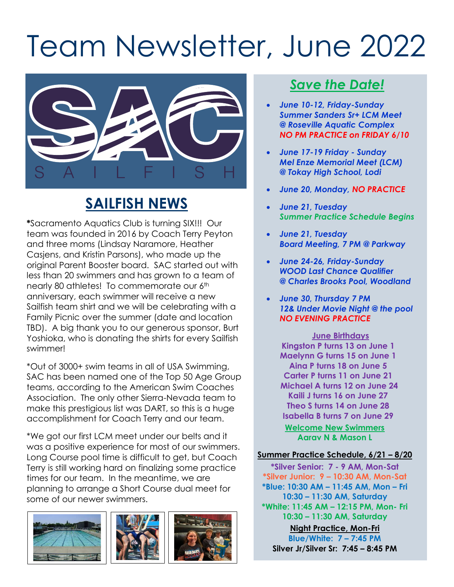# Team Newsletter, June 2022



# **SAILFISH NEWS**

**\***Sacramento Aquatics Club is turning SIX!!! Our team was founded in 2016 by Coach Terry Peyton and three moms (Lindsay Naramore, Heather Casjens, and Kristin Parsons), who made up the original Parent Booster board. SAC started out with less than 20 swimmers and has grown to a team of nearly 80 athletes! To commemorate our 6<sup>th</sup> anniversary, each swimmer will receive a new Sailfish team shirt and we will be celebrating with a Family Picnic over the summer (date and location TBD). A big thank you to our generous sponsor, Burt Yoshioka, who is donating the shirts for every Sailfish swimmer!

\*Out of 3000+ swim teams in all of USA Swimming, SAC has been named one of the Top 50 Age Group teams, according to the American Swim Coaches Association. The only other Sierra-Nevada team to make this prestigious list was DART, so this is a huge accomplishment for Coach Terry and our team.

\*We got our first LCM meet under our belts and it was a positive experience for most of our swimmers. Long Course pool time is difficult to get, but Coach Terry is still working hard on finalizing some practice times for our team. In the meantime, we are planning to arrange a Short Course dual meet for some of our newer swimmers.







## *Save the Date!*

- *June 10-12, Friday-Sunday Summer Sanders Sr+ LCM Meet @ Roseville Aquatic Complex NO PM PRACTICE on FRIDAY 6/10*
- *June 17-19 Friday - Sunday Mel Enze Memorial Meet (LCM) @ Tokay High School, Lodi*
- *June 20, Monday, NO PRACTICE*
- *June 21, Tuesday Summer Practice Schedule Begins*
- *June 21, Tuesday Board Meeting, 7 PM @ Parkway*
- *June 24-26, Friday-Sunday WOOD Last Chance Qualifier @ Charles Brooks Pool, Woodland*
- *June 30, Thursday 7 PM 12& Under Movie Night @ the pool NO EVENING PRACTICE*

**June Birthdays Kingston P turns 13 on June 1 Maelynn G turns 15 on June 1 Aina P turns 18 on June 5 Carter P turns 11 on June 21 Michael A turns 12 on June 24 Kaili J turns 16 on June 27 Theo S turns 14 on June 28 Isabella B turns 7 on June 29 Welcome New Swimmers**

**Aarav N & Mason L**

#### **Summer Practice Schedule, 6/21 – 8/20**

**\*Silver Senior: 7 - 9 AM, Mon-Sat \*Silver Junior: 9 – 10:30 AM, Mon-Sat \*Blue: 10:30 AM – 11:45 AM, Mon – Fri 10:30 – 11:30 AM, Saturday \*White: 11:45 AM – 12:15 PM, Mon- Fri 10:30 – 11:30 AM, Saturday Night Practice, Mon-Fri Blue/White: 7 – 7:45 PM Silver Jr/Silver Sr: 7:45 – 8:45 PM**